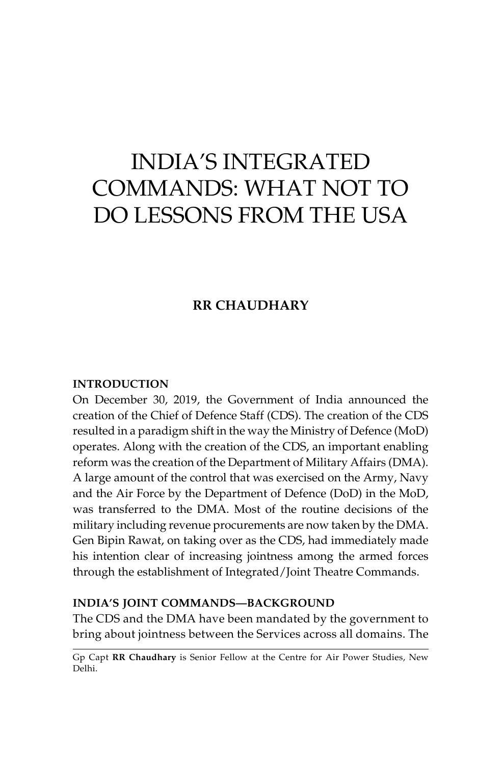# INDIA'S INTEGRATED COMMANDS: WHAT NOT TO DO LESSONS FROM THE USA

# **RR Chaudhary**

#### **Introduction**

On December 30, 2019, the Government of India announced the creation of the Chief of Defence Staff (CDS). The creation of the CDS resulted in a paradigm shift in the way the Ministry of Defence (MoD) operates. Along with the creation of the CDS, an important enabling reform was the creation of the Department of Military Affairs (DMA). A large amount of the control that was exercised on the Army, Navy and the Air Force by the Department of Defence (DoD) in the MoD, was transferred to the DMA. Most of the routine decisions of the military including revenue procurements are now taken by the DMA. Gen Bipin Rawat, on taking over as the CDS, had immediately made his intention clear of increasing jointness among the armed forces through the establishment of Integrated/Joint Theatre Commands.

# **India's Joint Commands—Background**

The CDS and the DMA have been mandated by the government to bring about jointness between the Services across all domains. The

Gp Capt **RR Chaudhary** is Senior Fellow at the Centre for Air Power Studies, New Delhi.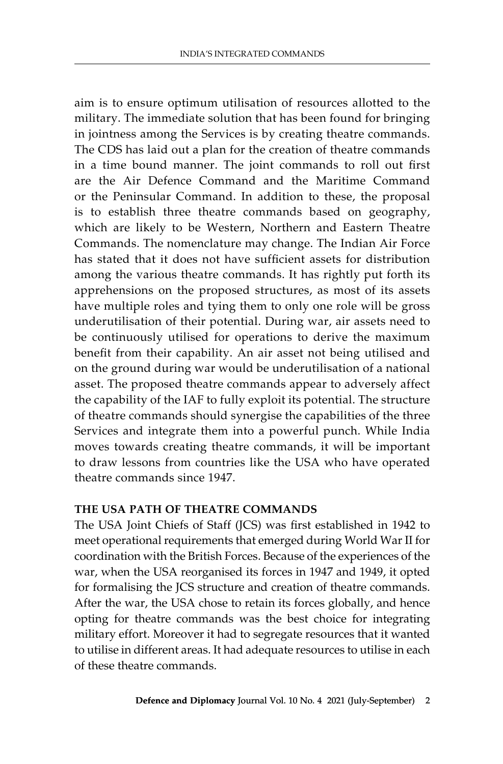aim is to ensure optimum utilisation of resources allotted to the military. The immediate solution that has been found for bringing in jointness among the Services is by creating theatre commands. The CDS has laid out a plan for the creation of theatre commands in a time bound manner. The joint commands to roll out first are the Air Defence Command and the Maritime Command or the Peninsular Command. In addition to these, the proposal is to establish three theatre commands based on geography, which are likely to be Western, Northern and Eastern Theatre Commands. The nomenclature may change. The Indian Air Force has stated that it does not have sufficient assets for distribution among the various theatre commands. It has rightly put forth its apprehensions on the proposed structures, as most of its assets have multiple roles and tying them to only one role will be gross underutilisation of their potential. During war, air assets need to be continuously utilised for operations to derive the maximum benefit from their capability. An air asset not being utilised and on the ground during war would be underutilisation of a national asset. The proposed theatre commands appear to adversely affect the capability of the IAF to fully exploit its potential. The structure of theatre commands should synergise the capabilities of the three Services and integrate them into a powerful punch. While India moves towards creating theatre commands, it will be important to draw lessons from countries like the USA who have operated theatre commands since 1947.

## **The USA Path of Theatre Commands**

The USA Joint Chiefs of Staff (JCS) was first established in 1942 to meet operational requirements that emerged during World War II for coordination with the British Forces. Because of the experiences of the war, when the USA reorganised its forces in 1947 and 1949, it opted for formalising the JCS structure and creation of theatre commands. After the war, the USA chose to retain its forces globally, and hence opting for theatre commands was the best choice for integrating military effort. Moreover it had to segregate resources that it wanted to utilise in different areas. It had adequate resources to utilise in each of these theatre commands.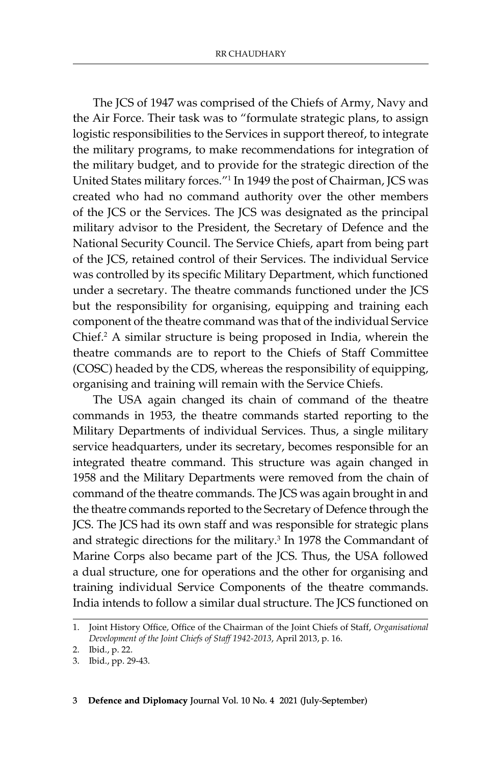The JCS of 1947 was comprised of the Chiefs of Army, Navy and the Air Force. Their task was to "formulate strategic plans, to assign logistic responsibilities to the Services in support thereof, to integrate the military programs, to make recommendations for integration of the military budget, and to provide for the strategic direction of the United States military forces."1 In 1949 the post of Chairman, JCS was created who had no command authority over the other members of the JCS or the Services. The JCS was designated as the principal military advisor to the President, the Secretary of Defence and the National Security Council. The Service Chiefs, apart from being part of the JCS, retained control of their Services. The individual Service was controlled by its specific Military Department, which functioned under a secretary. The theatre commands functioned under the JCS but the responsibility for organising, equipping and training each component of the theatre command was that of the individual Service Chief.2 A similar structure is being proposed in India, wherein the theatre commands are to report to the Chiefs of Staff Committee (COSC) headed by the CDS, whereas the responsibility of equipping, organising and training will remain with the Service Chiefs.

The USA again changed its chain of command of the theatre commands in 1953, the theatre commands started reporting to the Military Departments of individual Services. Thus, a single military service headquarters, under its secretary, becomes responsible for an integrated theatre command. This structure was again changed in 1958 and the Military Departments were removed from the chain of command of the theatre commands. The JCS was again brought in and the theatre commands reported to the Secretary of Defence through the JCS. The JCS had its own staff and was responsible for strategic plans and strategic directions for the military.<sup>3</sup> In 1978 the Commandant of Marine Corps also became part of the JCS. Thus, the USA followed a dual structure, one for operations and the other for organising and training individual Service Components of the theatre commands. India intends to follow a similar dual structure. The JCS functioned on

<sup>1.</sup> Joint History Office, Office of the Chairman of the Joint Chiefs of Staff, *Organisational Development of the Joint Chiefs of Staff 1942-2013*, April 2013, p. 16.

<sup>2.</sup> Ibid., p. 22.

<sup>3.</sup> Ibid., pp. 29-43.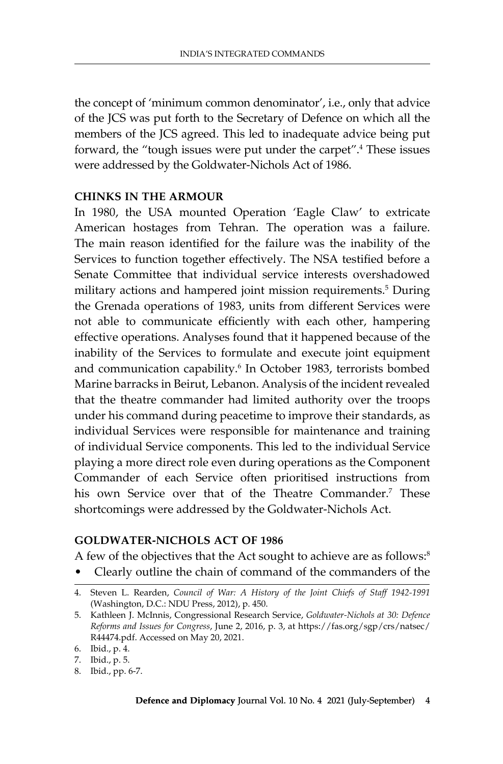the concept of 'minimum common denominator', i.e., only that advice of the JCS was put forth to the Secretary of Defence on which all the members of the JCS agreed. This led to inadequate advice being put forward, the "tough issues were put under the carpet".4 These issues were addressed by the Goldwater-Nichols Act of 1986.

#### **Chinks in the Armour**

In 1980, the USA mounted Operation 'Eagle Claw' to extricate American hostages from Tehran. The operation was a failure. The main reason identified for the failure was the inability of the Services to function together effectively. The NSA testified before a Senate Committee that individual service interests overshadowed military actions and hampered joint mission requirements.5 During the Grenada operations of 1983, units from different Services were not able to communicate efficiently with each other, hampering effective operations. Analyses found that it happened because of the inability of the Services to formulate and execute joint equipment and communication capability.<sup>6</sup> In October 1983, terrorists bombed Marine barracks in Beirut, Lebanon. Analysis of the incident revealed that the theatre commander had limited authority over the troops under his command during peacetime to improve their standards, as individual Services were responsible for maintenance and training of individual Service components. This led to the individual Service playing a more direct role even during operations as the Component Commander of each Service often prioritised instructions from his own Service over that of the Theatre Commander.<sup>7</sup> These shortcomings were addressed by the Goldwater-Nichols Act.

### **Goldwater-Nichols Act of 1986**

A few of the objectives that the Act sought to achieve are as follows:<sup>8</sup>

• Clearly outline the chain of command of the commanders of the

<sup>4.</sup> Steven L. Rearden, *Council of War: A History of the Joint Chiefs of Staff 1942-1991* (Washington, D.C.: NDU Press, 2012), p. 450.

<sup>5.</sup> Kathleen J. McInnis, Congressional Research Service, *Goldwater-Nichols at 30: Defence Reforms and Issues for Congress*, June 2, 2016, p. 3, at https://fas.org/sgp/crs/natsec/ R44474.pdf. Accessed on May 20, 2021.

<sup>6.</sup> Ibid., p. 4.

<sup>7.</sup> Ibid., p. 5.

<sup>8.</sup> Ibid., pp. 6-7.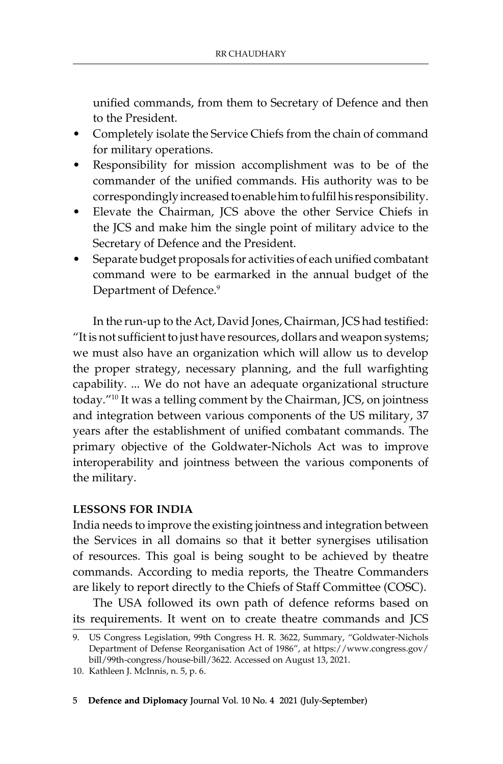unified commands, from them to Secretary of Defence and then to the President.

- Completely isolate the Service Chiefs from the chain of command for military operations.
- Responsibility for mission accomplishment was to be of the commander of the unified commands. His authority was to be correspondingly increased to enable him to fulfil his responsibility.
- Elevate the Chairman, JCS above the other Service Chiefs in the JCS and make him the single point of military advice to the Secretary of Defence and the President.
- Separate budget proposals for activities of each unified combatant command were to be earmarked in the annual budget of the Department of Defence.<sup>9</sup>

In the run-up to the Act, David Jones, Chairman, JCS had testified: "It is not sufficient to just have resources, dollars and weapon systems; we must also have an organization which will allow us to develop the proper strategy, necessary planning, and the full warfighting capability. ... We do not have an adequate organizational structure today."10 It was a telling comment by the Chairman, JCS, on jointness and integration between various components of the US military, 37 years after the establishment of unified combatant commands. The primary objective of the Goldwater-Nichols Act was to improve interoperability and jointness between the various components of the military.

# **Lessons for India**

India needs to improve the existing jointness and integration between the Services in all domains so that it better synergises utilisation of resources. This goal is being sought to be achieved by theatre commands. According to media reports, the Theatre Commanders are likely to report directly to the Chiefs of Staff Committee (COSC).

The USA followed its own path of defence reforms based on its requirements. It went on to create theatre commands and JCS

<sup>9.</sup> US Congress Legislation, 99th Congress H. R. 3622, Summary, "Goldwater-Nichols Department of Defense Reorganisation Act of 1986", at https://www.congress.gov/ bill/99th-congress/house-bill/3622. Accessed on August 13, 2021.

<sup>10.</sup> Kathleen J. McInnis, n. 5, p. 6.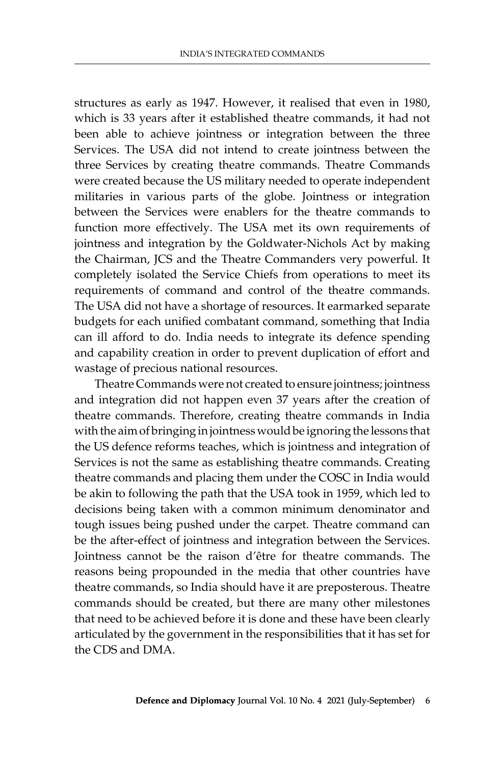structures as early as 1947. However, it realised that even in 1980, which is 33 years after it established theatre commands, it had not been able to achieve jointness or integration between the three Services. The USA did not intend to create jointness between the three Services by creating theatre commands. Theatre Commands were created because the US military needed to operate independent militaries in various parts of the globe. Jointness or integration between the Services were enablers for the theatre commands to function more effectively. The USA met its own requirements of jointness and integration by the Goldwater-Nichols Act by making the Chairman, JCS and the Theatre Commanders very powerful. It completely isolated the Service Chiefs from operations to meet its requirements of command and control of the theatre commands. The USA did not have a shortage of resources. It earmarked separate budgets for each unified combatant command, something that India can ill afford to do. India needs to integrate its defence spending and capability creation in order to prevent duplication of effort and wastage of precious national resources.

Theatre Commands were not created to ensure jointness; jointness and integration did not happen even 37 years after the creation of theatre commands. Therefore, creating theatre commands in India with the aim of bringing in jointness would be ignoring the lessons that the US defence reforms teaches, which is jointness and integration of Services is not the same as establishing theatre commands. Creating theatre commands and placing them under the COSC in India would be akin to following the path that the USA took in 1959, which led to decisions being taken with a common minimum denominator and tough issues being pushed under the carpet. Theatre command can be the after-effect of jointness and integration between the Services. Jointness cannot be the raison d'être for theatre commands. The reasons being propounded in the media that other countries have theatre commands, so India should have it are preposterous. Theatre commands should be created, but there are many other milestones that need to be achieved before it is done and these have been clearly articulated by the government in the responsibilities that it has set for the CDS and DMA.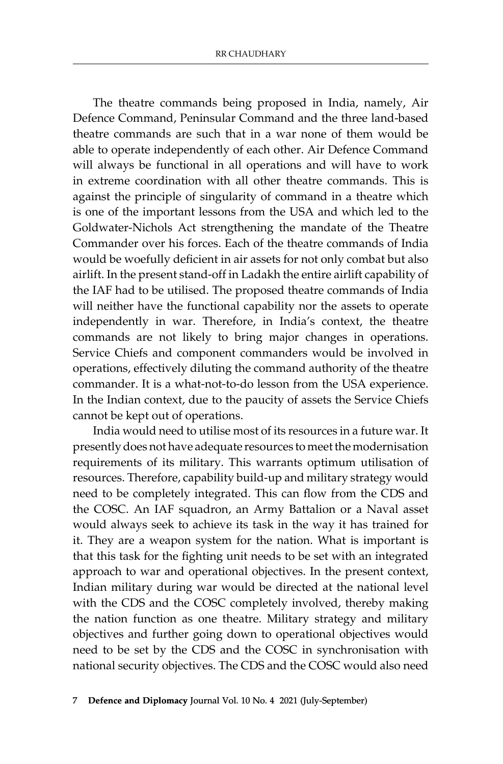The theatre commands being proposed in India, namely, Air Defence Command, Peninsular Command and the three land-based theatre commands are such that in a war none of them would be able to operate independently of each other. Air Defence Command will always be functional in all operations and will have to work in extreme coordination with all other theatre commands. This is against the principle of singularity of command in a theatre which is one of the important lessons from the USA and which led to the Goldwater-Nichols Act strengthening the mandate of the Theatre Commander over his forces. Each of the theatre commands of India would be woefully deficient in air assets for not only combat but also airlift. In the present stand-off in Ladakh the entire airlift capability of the IAF had to be utilised. The proposed theatre commands of India will neither have the functional capability nor the assets to operate independently in war. Therefore, in India's context, the theatre commands are not likely to bring major changes in operations. Service Chiefs and component commanders would be involved in operations, effectively diluting the command authority of the theatre commander. It is a what-not-to-do lesson from the USA experience. In the Indian context, due to the paucity of assets the Service Chiefs cannot be kept out of operations.

India would need to utilise most of its resources in a future war. It presently does not have adequate resources to meet the modernisation requirements of its military. This warrants optimum utilisation of resources. Therefore, capability build-up and military strategy would need to be completely integrated. This can flow from the CDS and the COSC. An IAF squadron, an Army Battalion or a Naval asset would always seek to achieve its task in the way it has trained for it. They are a weapon system for the nation. What is important is that this task for the fighting unit needs to be set with an integrated approach to war and operational objectives. In the present context, Indian military during war would be directed at the national level with the CDS and the COSC completely involved, thereby making the nation function as one theatre. Military strategy and military objectives and further going down to operational objectives would need to be set by the CDS and the COSC in synchronisation with national security objectives. The CDS and the COSC would also need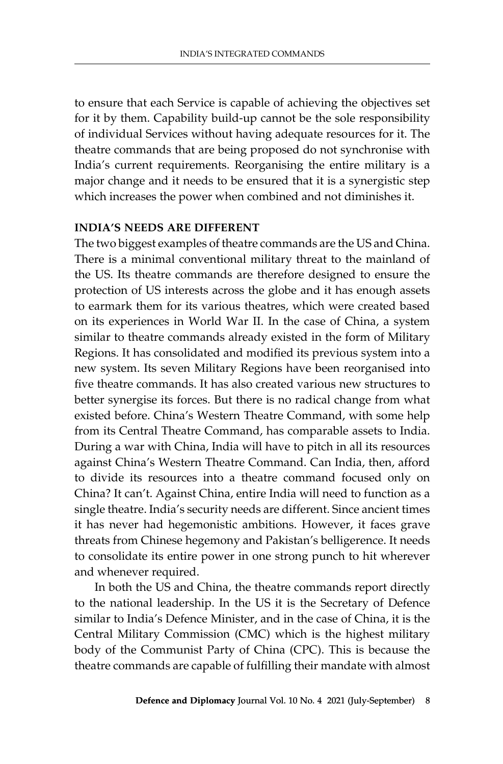to ensure that each Service is capable of achieving the objectives set for it by them. Capability build-up cannot be the sole responsibility of individual Services without having adequate resources for it. The theatre commands that are being proposed do not synchronise with India's current requirements. Reorganising the entire military is a major change and it needs to be ensured that it is a synergistic step which increases the power when combined and not diminishes it.

# **India's Needs Are Different**

The two biggest examples of theatre commands are the US and China. There is a minimal conventional military threat to the mainland of the US. Its theatre commands are therefore designed to ensure the protection of US interests across the globe and it has enough assets to earmark them for its various theatres, which were created based on its experiences in World War II. In the case of China, a system similar to theatre commands already existed in the form of Military Regions. It has consolidated and modified its previous system into a new system. Its seven Military Regions have been reorganised into five theatre commands. It has also created various new structures to better synergise its forces. But there is no radical change from what existed before. China's Western Theatre Command, with some help from its Central Theatre Command, has comparable assets to India. During a war with China, India will have to pitch in all its resources against China's Western Theatre Command. Can India, then, afford to divide its resources into a theatre command focused only on China? It can't. Against China, entire India will need to function as a single theatre. India's security needs are different. Since ancient times it has never had hegemonistic ambitions. However, it faces grave threats from Chinese hegemony and Pakistan's belligerence. It needs to consolidate its entire power in one strong punch to hit wherever and whenever required.

In both the US and China, the theatre commands report directly to the national leadership. In the US it is the Secretary of Defence similar to India's Defence Minister, and in the case of China, it is the Central Military Commission (CMC) which is the highest military body of the Communist Party of China (CPC). This is because the theatre commands are capable of fulfilling their mandate with almost